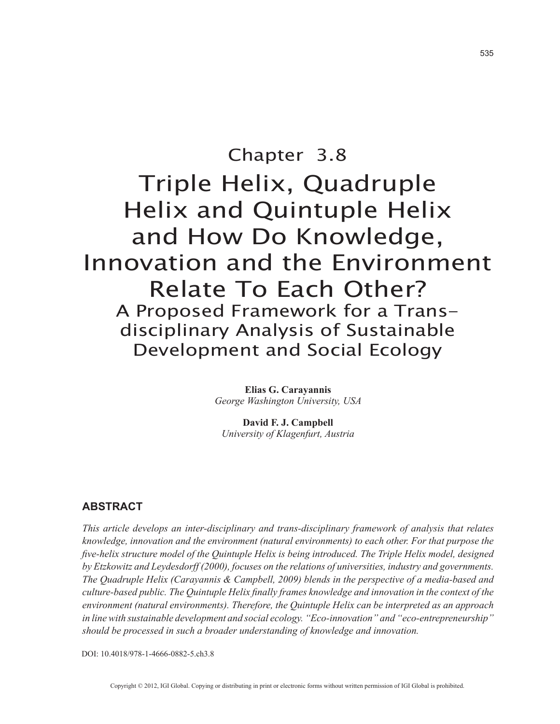Chapter 3.8 Triple Helix, Quadruple Helix and Quintuple Helix and How Do Knowledge, Innovation and the Environment Relate To Each Other? A Proposed Framework for a Transdisciplinary Analysis of Sustainable Development and Social Ecology

> **Elias G. Carayannis** *George Washington University, USA*

**David F. J. Campbell** *University of Klagenfurt, Austria*

### **ABSTRACT**

*This article develops an inter-disciplinary and trans-disciplinary framework of analysis that relates knowledge, innovation and the environment (natural environments) to each other. For that purpose the five-helix structure model of the Quintuple Helix is being introduced. The Triple Helix model, designed by Etzkowitz and Leydesdorff (2000), focuses on the relations of universities, industry and governments. The Quadruple Helix (Carayannis & Campbell, 2009) blends in the perspective of a media-based and culture-based public. The Quintuple Helix finally frames knowledge and innovation in the context of the environment (natural environments). Therefore, the Quintuple Helix can be interpreted as an approach in line with sustainable development and social ecology. "Eco-innovation" and "eco-entrepreneurship" should be processed in such a broader understanding of knowledge and innovation.*

DOI: 10.4018/978-1-4666-0882-5.ch3.8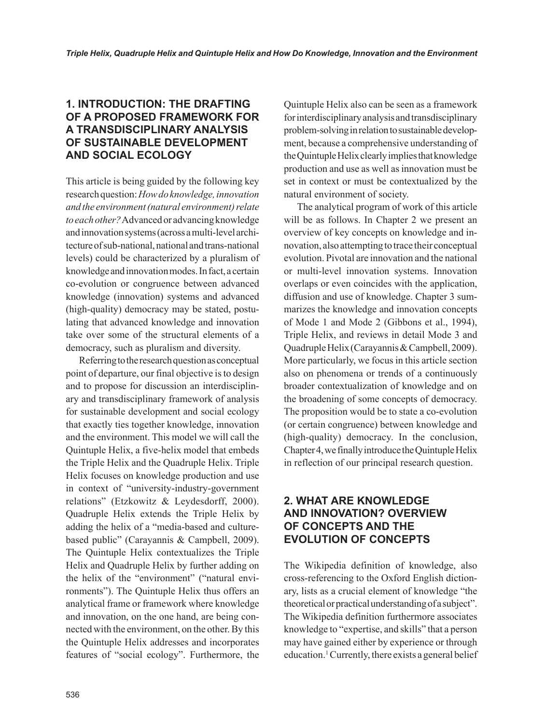# **1. INTRODUCTION: THE DRAFTING OF A PROPOSED FRAMEWORK FOR A TRANSDISCIPLINARY ANALYSIS OF SUSTAINABLE DEVELOPMENT AND SOCIAL ECOLOGY**

This article is being guided by the following key research question: *How do knowledge, innovation and the environment (natural environment) relate to each other?* Advanced or advancing knowledge and innovation systems (across a multi-level architecture of sub-national, national and trans-national levels) could be characterized by a pluralism of knowledge and innovation modes. In fact, a certain co-evolution or congruence between advanced knowledge (innovation) systems and advanced (high-quality) democracy may be stated, postulating that advanced knowledge and innovation take over some of the structural elements of a democracy, such as pluralism and diversity.

Referring to the research question as conceptual point of departure, our final objective is to design and to propose for discussion an interdisciplinary and transdisciplinary framework of analysis for sustainable development and social ecology that exactly ties together knowledge, innovation and the environment. This model we will call the Quintuple Helix, a five-helix model that embeds the Triple Helix and the Quadruple Helix. Triple Helix focuses on knowledge production and use in context of "university-industry-government relations" (Etzkowitz & Leydesdorff, 2000). Quadruple Helix extends the Triple Helix by adding the helix of a "media-based and culturebased public" (Carayannis & Campbell, 2009). The Quintuple Helix contextualizes the Triple Helix and Quadruple Helix by further adding on the helix of the "environment" ("natural environments"). The Quintuple Helix thus offers an analytical frame or framework where knowledge and innovation, on the one hand, are being connected with the environment, on the other. By this the Quintuple Helix addresses and incorporates features of "social ecology". Furthermore, the Quintuple Helix also can be seen as a framework for interdisciplinary analysis and transdisciplinary problem-solving in relation to sustainable development, because a comprehensive understanding of the Quintuple Helix clearly implies that knowledge production and use as well as innovation must be set in context or must be contextualized by the natural environment of society.

The analytical program of work of this article will be as follows. In Chapter 2 we present an overview of key concepts on knowledge and innovation, also attempting to trace their conceptual evolution. Pivotal are innovation and the national or multi-level innovation systems. Innovation overlaps or even coincides with the application, diffusion and use of knowledge. Chapter 3 summarizes the knowledge and innovation concepts of Mode 1 and Mode 2 (Gibbons et al., 1994), Triple Helix, and reviews in detail Mode 3 and Quadruple Helix (Carayannis & Campbell, 2009). More particularly, we focus in this article section also on phenomena or trends of a continuously broader contextualization of knowledge and on the broadening of some concepts of democracy. The proposition would be to state a co-evolution (or certain congruence) between knowledge and (high-quality) democracy. In the conclusion, Chapter 4, we finally introduce the Quintuple Helix in reflection of our principal research question.

# **2. WHAT ARE KNOWLEDGE AND INNOVATION? OVERVIEW OF CONCEPTS AND THE EVOLUTION OF CONCEPTS**

The Wikipedia definition of knowledge, also cross-referencing to the Oxford English dictionary, lists as a crucial element of knowledge "the theoretical or practical understanding of a subject". The Wikipedia definition furthermore associates knowledge to "expertise, and skills" that a person may have gained either by experience or through education.1 Currently, there exists a general belief